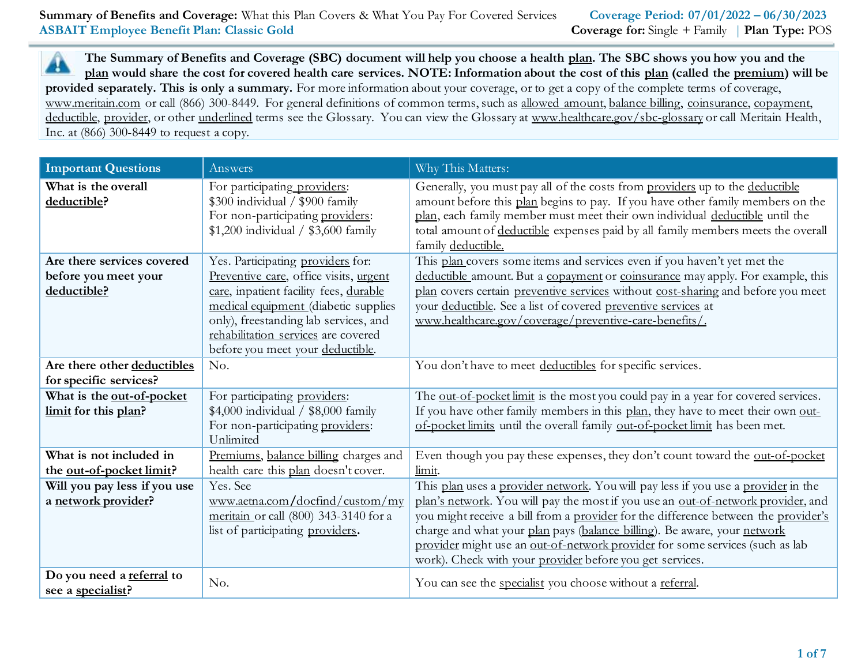**The Summary of Benefits and Coverage (SBC) document will help you choose a health plan. The SBC shows you how you and the**  A **plan would share the cost for covered health care services. NOTE: Information about the cost of this plan (called the premium) will be provided separately. This is only a summary.** For more information about your coverage, or to get a copy of the complete terms of coverage, [www.meritain.com](http://www.meritain.com/) or call (866) 300-8449. For general definitions of common terms, such as allowed amount, balance billing, coinsurance, copayment, deductible, provider, or other underlined terms see the Glossary. You can view the Glossary at www.healthcare.gov/sbc-glossary or call Meritain Health, Inc. at (866) 300-8449 to request a copy.

| <b>Important Questions</b>                                        | Answers                                                                                                                                                                                                                                                                           | Why This Matters:                                                                                                                                                                                                                                                                                                                                                                                                                                                                   |
|-------------------------------------------------------------------|-----------------------------------------------------------------------------------------------------------------------------------------------------------------------------------------------------------------------------------------------------------------------------------|-------------------------------------------------------------------------------------------------------------------------------------------------------------------------------------------------------------------------------------------------------------------------------------------------------------------------------------------------------------------------------------------------------------------------------------------------------------------------------------|
| What is the overall<br>deductible?                                | For participating providers:<br>\$300 individual / \$900 family<br>For non-participating providers:<br>\$1,200 individual / \$3,600 family                                                                                                                                        | Generally, you must pay all of the costs from providers up to the deductible<br>amount before this plan begins to pay. If you have other family members on the<br>plan, each family member must meet their own individual deductible until the<br>total amount of deductible expenses paid by all family members meets the overall<br>family deductible.                                                                                                                            |
| Are there services covered<br>before you meet your<br>deductible? | Yes. Participating providers for:<br>Preventive care, office visits, urgent<br>care, inpatient facility fees, durable<br>medical equipment (diabetic supplies<br>only), freestanding lab services, and<br>rehabilitation services are covered<br>before you meet your deductible. | This plan covers some items and services even if you haven't yet met the<br>deductible amount. But a copayment or coinsurance may apply. For example, this<br>plan covers certain preventive services without cost-sharing and before you meet<br>your deductible. See a list of covered preventive services at<br>www.healthcare.gov/coverage/preventive-care-benefits/.                                                                                                           |
| Are there other deductibles<br>for specific services?             | No.                                                                                                                                                                                                                                                                               | You don't have to meet deductibles for specific services.                                                                                                                                                                                                                                                                                                                                                                                                                           |
| What is the out-of-pocket<br>limit for this plan?                 | For participating providers:<br>\$4,000 individual / \$8,000 family<br>For non-participating providers:<br>Unlimited                                                                                                                                                              | The out-of-pocket limit is the most you could pay in a year for covered services.<br>If you have other family members in this plan, they have to meet their own out-<br>of-pocket limits until the overall family out-of-pocket limit has been met.                                                                                                                                                                                                                                 |
| What is not included in<br>the out-of-pocket limit?               | Premiums, balance billing charges and<br>health care this plan doesn't cover.                                                                                                                                                                                                     | Even though you pay these expenses, they don't count toward the out-of-pocket<br>limit.                                                                                                                                                                                                                                                                                                                                                                                             |
| Will you pay less if you use<br>a network provider?               | Yes. See<br>www.aetna.com/docfind/custom/my<br>meritain or call (800) 343-3140 for a<br>list of participating providers.                                                                                                                                                          | This plan uses a provider network. You will pay less if you use a provider in the<br>plan's network. You will pay the most if you use an out-of-network provider, and<br>you might receive a bill from a provider for the difference between the provider's<br>charge and what your plan pays (balance billing). Be aware, your network<br>provider might use an out-of-network provider for some services (such as lab<br>work). Check with your provider before you get services. |
| Do you need a referral to<br>see a specialist?                    | No.                                                                                                                                                                                                                                                                               | You can see the specialist you choose without a referral.                                                                                                                                                                                                                                                                                                                                                                                                                           |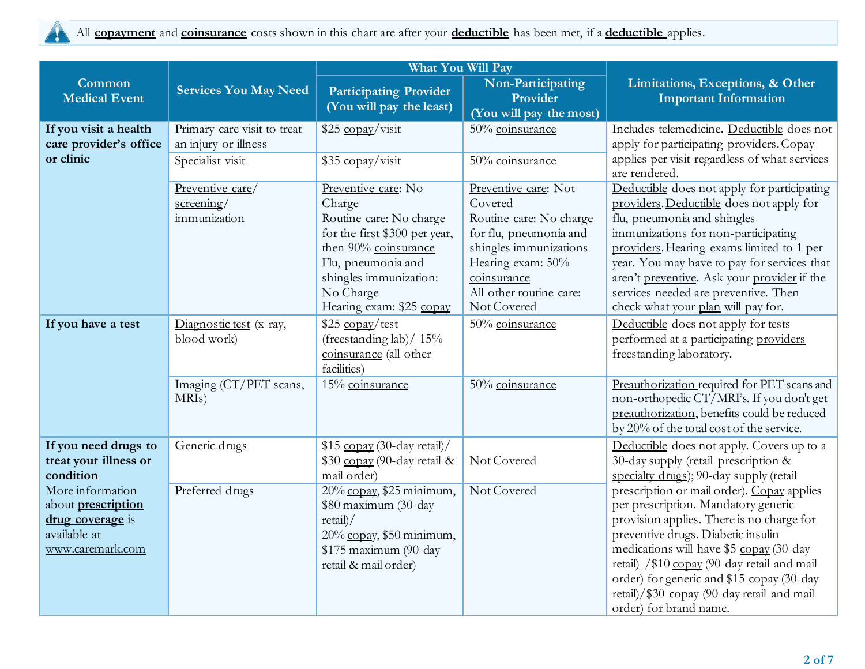

|                                                                                   |                                                                                             | <b>What You Will Pay</b>                                                                                                                                                            |                                                                                                                                                                      |                                                                                                                                                                                                                                                                                                                                         |
|-----------------------------------------------------------------------------------|---------------------------------------------------------------------------------------------|-------------------------------------------------------------------------------------------------------------------------------------------------------------------------------------|----------------------------------------------------------------------------------------------------------------------------------------------------------------------|-----------------------------------------------------------------------------------------------------------------------------------------------------------------------------------------------------------------------------------------------------------------------------------------------------------------------------------------|
| Common<br><b>Medical Event</b>                                                    | <b>Services You May Need</b>                                                                | <b>Participating Provider</b><br>(You will pay the least)                                                                                                                           | Non-Participating<br>Provider<br>(You will pay the most)                                                                                                             | Limitations, Exceptions, & Other<br><b>Important Information</b>                                                                                                                                                                                                                                                                        |
| If you visit a health<br>care provider's office<br>or clinic                      | Primary care visit to treat<br>an injury or illness<br>Specialist visit<br>Preventive care/ | \$25 copay/visit<br>\$35 copay/visit<br>Preventive care: No                                                                                                                         | 50% coinsurance<br>50% coinsurance<br>Preventive care: Not                                                                                                           | Includes telemedicine. Deductible does not<br>apply for participating providers. Copay<br>applies per visit regardless of what services<br>are rendered.<br>Deductible does not apply for participating                                                                                                                                 |
|                                                                                   | $s$ creening/<br>immunization                                                               | Charge<br>Routine care: No charge<br>for the first \$300 per year,<br>then 90% coinsurance<br>Flu, pneumonia and<br>shingles immunization:<br>No Charge<br>Hearing exam: \$25 copay | Covered<br>Routine care: No charge<br>for flu, pneumonia and<br>shingles immunizations<br>Hearing exam: 50%<br>coinsurance<br>All other routine care:<br>Not Covered | providers. Deductible does not apply for<br>flu, pneumonia and shingles<br>immunizations for non-participating<br>providers. Hearing exams limited to 1 per<br>year. You may have to pay for services that<br>aren't preventive. Ask your provider if the<br>services needed are preventive. Then<br>check what your plan will pay for. |
| If you have a test                                                                | Diagnostic test (x-ray,<br>blood work)                                                      | $$25 \underline{copay}/test$<br>(freestanding lab)/ $15%$<br>coinsurance (all other<br>facilities)                                                                                  | 50% coinsurance                                                                                                                                                      | Deductible does not apply for tests<br>performed at a participating providers<br>freestanding laboratory.                                                                                                                                                                                                                               |
|                                                                                   | Imaging (CT/PET scans,<br>MRIs)                                                             | 15% coinsurance                                                                                                                                                                     | 50% coinsurance                                                                                                                                                      | Preauthorization required for PET scans and<br>non-orthopedic CT/MRI's. If you don't get<br>preauthorization, benefits could be reduced<br>by 20% of the total cost of the service.                                                                                                                                                     |
| If you need drugs to<br>treat your illness or<br>condition<br>More information    | Generic drugs<br>Preferred drugs                                                            | \$15 copay (30-day retail)/<br>\$30 copay (90-day retail &<br>mail order)<br>20% copay, \$25 minimum,                                                                               | Not Covered<br>Not Covered                                                                                                                                           | Deductible does not apply. Covers up to a<br>30-day supply (retail prescription &<br>specialty drugs); 90-day supply (retail<br>prescription or mail order). Copay applies                                                                                                                                                              |
| about <b>prescription</b><br>drug coverage is<br>available at<br>www.caremark.com |                                                                                             | \$80 maximum (30-day<br>retail<br>20% copay, \$50 minimum,<br>\$175 maximum (90-day<br>retail & mail order)                                                                         |                                                                                                                                                                      | per prescription. Mandatory generic<br>provision applies. There is no charge for<br>preventive drugs. Diabetic insulin<br>medications will have \$5 copay (30-day<br>retail) /\$10 copay (90-day retail and mail<br>order) for generic and \$15 copay (30-day<br>retail)/\$30 copay (90-day retail and mail<br>order) for brand name.   |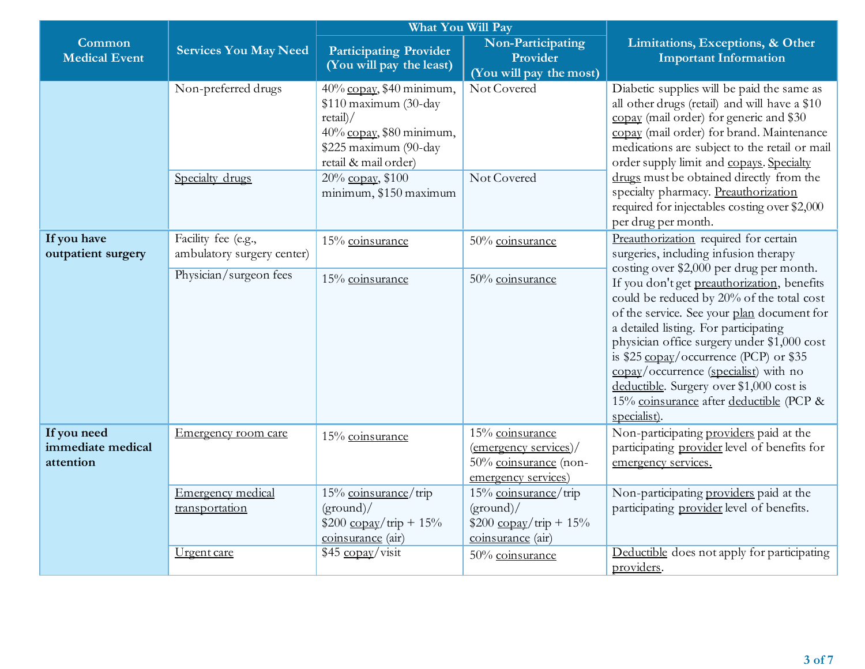|                                               |                                                   | What You Will Pay                                                                                                                        |                                                                                                   |                                                                                                                                                                                                                                                                                                                                                                                                                                                                                             |  |
|-----------------------------------------------|---------------------------------------------------|------------------------------------------------------------------------------------------------------------------------------------------|---------------------------------------------------------------------------------------------------|---------------------------------------------------------------------------------------------------------------------------------------------------------------------------------------------------------------------------------------------------------------------------------------------------------------------------------------------------------------------------------------------------------------------------------------------------------------------------------------------|--|
| Common<br><b>Medical Event</b>                | <b>Services You May Need</b>                      | <b>Participating Provider</b><br>(You will pay the least)                                                                                | Non-Participating<br>Provider<br>(You will pay the most)                                          | Limitations, Exceptions, & Other<br><b>Important Information</b>                                                                                                                                                                                                                                                                                                                                                                                                                            |  |
|                                               | Non-preferred drugs                               | 40% copay, \$40 minimum,<br>\$110 maximum (30-day<br>retail<br>40% copay, \$80 minimum,<br>\$225 maximum (90-day<br>retail & mail order) | Not Covered                                                                                       | Diabetic supplies will be paid the same as<br>all other drugs (retail) and will have a \$10<br>copay (mail order) for generic and \$30<br>copay (mail order) for brand. Maintenance<br>medications are subject to the retail or mail<br>order supply limit and copays. Specialty                                                                                                                                                                                                            |  |
|                                               | Specialty drugs                                   | 20% copay, \$100<br>minimum, \$150 maximum                                                                                               | Not Covered                                                                                       | drugs must be obtained directly from the<br>specialty pharmacy. Preauthorization<br>required for injectables costing over \$2,000<br>per drug per month.                                                                                                                                                                                                                                                                                                                                    |  |
| If you have<br>outpatient surgery             | Facility fee (e.g.,<br>ambulatory surgery center) | 15% coinsurance                                                                                                                          | 50% coinsurance                                                                                   | Preauthorization required for certain<br>surgeries, including infusion therapy                                                                                                                                                                                                                                                                                                                                                                                                              |  |
|                                               | Physician/surgeon fees                            | 15% coinsurance                                                                                                                          | 50% coinsurance                                                                                   | costing over \$2,000 per drug per month.<br>If you don't get preauthorization, benefits<br>could be reduced by 20% of the total cost<br>of the service. See your plan document for<br>a detailed listing. For participating<br>physician office surgery under \$1,000 cost<br>is \$25 $\frac{\text{copay}}{\text{ocurrence}}$ (PCP) or \$35<br>copay/occurrence (specialist) with no<br>deductible. Surgery over \$1,000 cost is<br>15% coinsurance after deductible (PCP &<br>specialist). |  |
| If you need<br>immediate medical<br>attention | Emergency room care                               | 15% coinsurance                                                                                                                          | 15% coinsurance<br>$(energy$ services)/<br>50% coinsurance (non-<br>emergency services)           | Non-participating providers paid at the<br>participating provider level of benefits for<br>emergency services.                                                                                                                                                                                                                                                                                                                                                                              |  |
|                                               | Emergency medical<br>transportation               | 15% coinsurance/trip<br>(ground)<br>$$200 \frac{\text{copy}}{\text{trip}} + 15\%$<br>coinsurance (air)                                   | 15% coinsurance/trip<br>(ground)<br>$$200 \, \text{copy}/\text{trip} + 15\%$<br>coinsurance (air) | Non-participating providers paid at the<br>participating provider level of benefits.                                                                                                                                                                                                                                                                                                                                                                                                        |  |
|                                               | Urgent care                                       | \$45 copay/visit                                                                                                                         | 50% coinsurance                                                                                   | Deductible does not apply for participating<br>providers.                                                                                                                                                                                                                                                                                                                                                                                                                                   |  |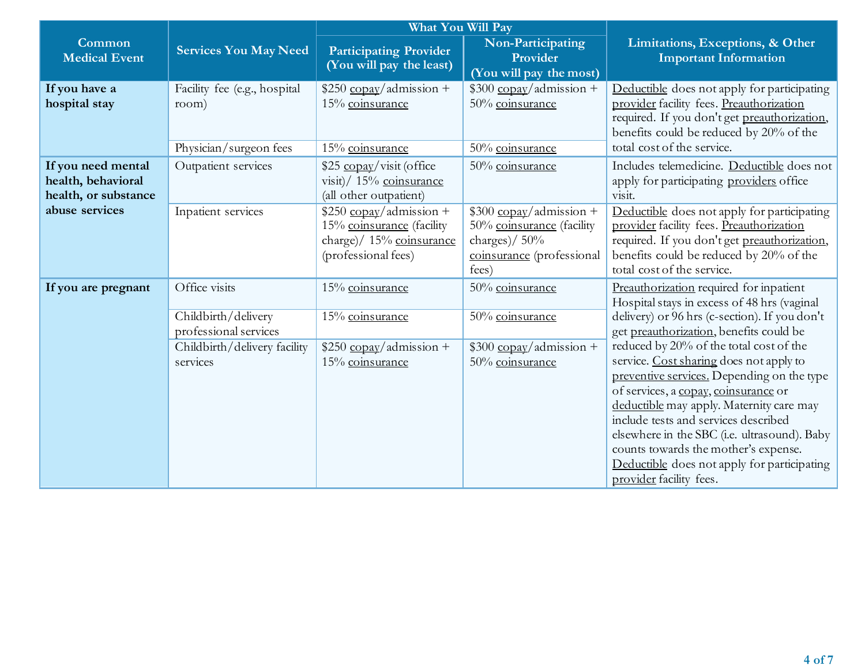|                                                                  |                                              | <b>What You Will Pay</b>                                                                                            |                                                                                                                                         |                                                                                                                                                                                                                                                                                                                                                                                                                                |  |
|------------------------------------------------------------------|----------------------------------------------|---------------------------------------------------------------------------------------------------------------------|-----------------------------------------------------------------------------------------------------------------------------------------|--------------------------------------------------------------------------------------------------------------------------------------------------------------------------------------------------------------------------------------------------------------------------------------------------------------------------------------------------------------------------------------------------------------------------------|--|
| Common<br><b>Medical Event</b>                                   | <b>Services You May Need</b>                 | <b>Participating Provider</b><br>(You will pay the least)                                                           | Non-Participating<br>Provider<br>(You will pay the most)                                                                                | Limitations, Exceptions, & Other<br><b>Important Information</b>                                                                                                                                                                                                                                                                                                                                                               |  |
| If you have a<br>hospital stay                                   | Facility fee (e.g., hospital<br>room)        | $$250$ copay/admission +<br>15% coinsurance                                                                         | $$300$ copay/admission +<br>50% coinsurance                                                                                             | Deductible does not apply for participating<br>provider facility fees. Preauthorization<br>required. If you don't get preauthorization,<br>benefits could be reduced by 20% of the                                                                                                                                                                                                                                             |  |
|                                                                  | Physician/surgeon fees                       | 15% coinsurance                                                                                                     | 50% coinsurance                                                                                                                         | total cost of the service.                                                                                                                                                                                                                                                                                                                                                                                                     |  |
| If you need mental<br>health, behavioral<br>health, or substance | Outpatient services                          | \$25 copay/visit (office)<br>visit)/ 15% coinsurance<br>(all other outpatient)                                      | 50% coinsurance                                                                                                                         | Includes telemedicine. Deductible does not<br>apply for participating providers office<br>visit.                                                                                                                                                                                                                                                                                                                               |  |
| abuse services                                                   | Inpatient services                           | $$250 \underline{copy}/admission +$<br>15% coinsurance (facility<br>charge)/ 15% coinsurance<br>(professional fees) | $$300 \underline{copay}/\underline{admission} +$<br>50% coinsurance (facility<br>charges)/ $50\%$<br>coinsurance (professional<br>fees) | Deductible does not apply for participating<br>provider facility fees. Preauthorization<br>required. If you don't get preauthorization,<br>benefits could be reduced by 20% of the<br>total cost of the service.                                                                                                                                                                                                               |  |
| If you are pregnant                                              | Office visits                                | 15% coinsurance                                                                                                     | 50% coinsurance                                                                                                                         | Preauthorization required for inpatient<br>Hospital stays in excess of 48 hrs (vaginal                                                                                                                                                                                                                                                                                                                                         |  |
|                                                                  | Childbirth/delivery<br>professional services | 15% coinsurance                                                                                                     | 50% coinsurance                                                                                                                         | delivery) or 96 hrs (c-section). If you don't<br>get preauthorization, benefits could be                                                                                                                                                                                                                                                                                                                                       |  |
|                                                                  | Childbirth/delivery facility<br>services     | $$250$ copay/admission +<br>15% coinsurance                                                                         | $$300$ copay/admission +<br>50% coinsurance                                                                                             | reduced by 20% of the total cost of the<br>service. Cost sharing does not apply to<br>preventive services. Depending on the type<br>of services, a copay, coinsurance or<br>deductible may apply. Maternity care may<br>include tests and services described<br>elsewhere in the SBC (i.e. ultrasound). Baby<br>counts towards the mother's expense.<br>Deductible does not apply for participating<br>provider facility fees. |  |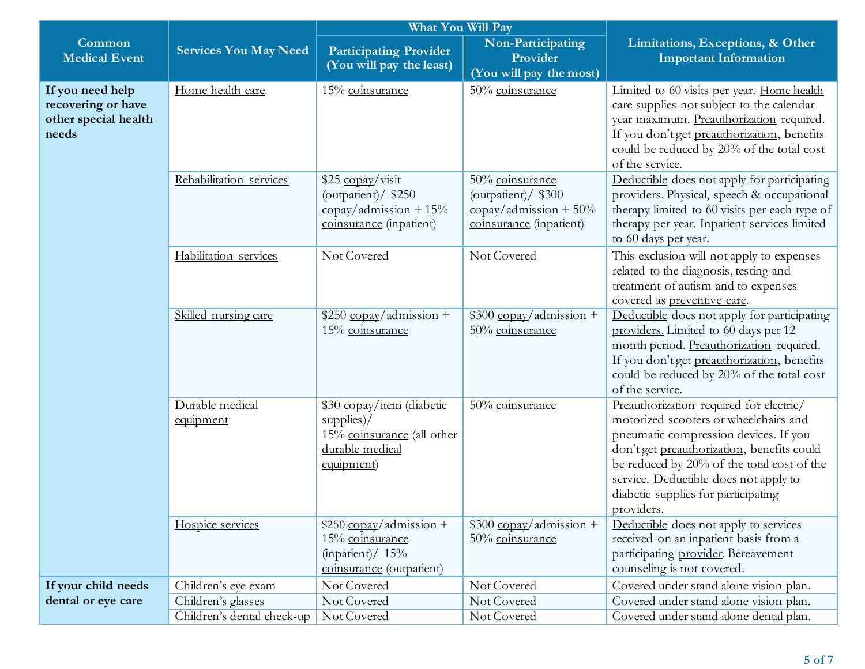|                                                                         |                              | What You Will Pay                                                                                                        |                                                                                                                     |                                                                                                                                                                                                                                                                                                                     |
|-------------------------------------------------------------------------|------------------------------|--------------------------------------------------------------------------------------------------------------------------|---------------------------------------------------------------------------------------------------------------------|---------------------------------------------------------------------------------------------------------------------------------------------------------------------------------------------------------------------------------------------------------------------------------------------------------------------|
| Common<br><b>Medical Event</b>                                          | <b>Services You May Need</b> | <b>Participating Provider</b><br>(You will pay the least)                                                                | Non-Participating<br>Provider<br>(You will pay the most)                                                            | Limitations, Exceptions, & Other<br><b>Important Information</b>                                                                                                                                                                                                                                                    |
| If you need help<br>recovering or have<br>other special health<br>needs | Home health care             | 15% coinsurance                                                                                                          | 50% coinsurance                                                                                                     | Limited to 60 visits per year. Home health<br>care supplies not subject to the calendar<br>year maximum. Preauthorization required.<br>If you don't get preauthorization, benefits<br>could be reduced by 20% of the total cost<br>of the service.                                                                  |
|                                                                         | Rehabilitation services      | \$25 copay/visit<br>(outpatient)/ \$250<br>$\frac{\text{copay}}{\text{admission}} + 15\%$<br>coinsurance (inpatient)     | 50% coinsurance<br>(outpatient)/ \$300<br>$\frac{\text{copay}}{\text{admission}} + 50\%$<br>coinsurance (inpatient) | Deductible does not apply for participating<br>providers. Physical, speech & occupational<br>therapy limited to 60 visits per each type of<br>therapy per year. Inpatient services limited<br>to 60 days per year.                                                                                                  |
|                                                                         | Habilitation services        | Not Covered                                                                                                              | Not Covered                                                                                                         | This exclusion will not apply to expenses<br>related to the diagnosis, testing and<br>treatment of autism and to expenses<br>covered as preventive care.                                                                                                                                                            |
|                                                                         | Skilled nursing care         | $$250$ copay/admission +<br>15% coinsurance                                                                              | $$300$ copay/admission +<br>50% coinsurance                                                                         | Deductible does not apply for participating<br>providers. Limited to 60 days per 12<br>month period. Preauthorization required.<br>If you don't get preauthorization, benefits<br>could be reduced by 20% of the total cost<br>of the service.                                                                      |
|                                                                         | Durable medical<br>equipment | \$30 copay/item (diabetic<br>$supplies$ /<br>15% coinsurance (all other<br>durable medical<br>equipment)                 | 50% coinsurance                                                                                                     | Preauthorization required for electric/<br>motorized scooters or wheelchairs and<br>pneumatic compression devices. If you<br>don't get preauthorization, benefits could<br>be reduced by 20% of the total cost of the<br>service. Deductible does not apply to<br>diabetic supplies for participating<br>providers. |
|                                                                         | Hospice services             | $$250 \underline{copay}/\underline{adm}$ ission +<br>15% coinsurance<br>(inpatient) / $15\%$<br>coinsurance (outpatient) | $$300$ copay/admission +<br>50% coinsurance                                                                         | Deductible does not apply to services<br>received on an inpatient basis from a<br>participating provider. Bereavement<br>counseling is not covered.                                                                                                                                                                 |
| If your child needs                                                     | Children's eye exam          | Not Covered                                                                                                              | Not Covered                                                                                                         | Covered under stand alone vision plan.                                                                                                                                                                                                                                                                              |
| dental or eye care                                                      | Children's glasses           | Not Covered                                                                                                              | Not Covered                                                                                                         | Covered under stand alone vision plan.                                                                                                                                                                                                                                                                              |
|                                                                         | Children's dental check-up   | Not Covered                                                                                                              | Not Covered                                                                                                         | Covered under stand alone dental plan.                                                                                                                                                                                                                                                                              |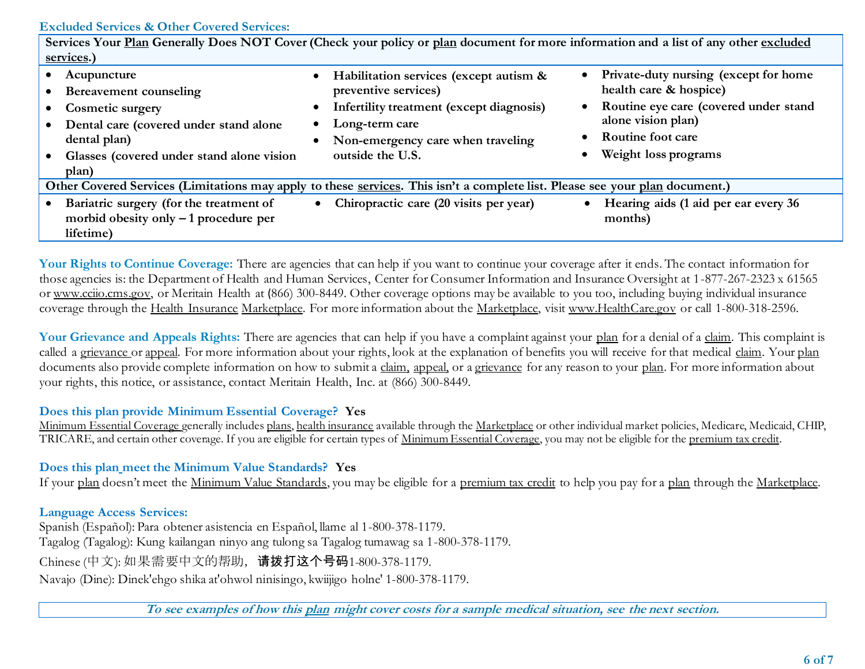### **Excluded Services & Other Covered Services:**

| Services Your Plan Generally Does NOT Cover (Check your policy or plan document for more information and a list of any other excluded |                                                                             |                                                                              |  |  |
|---------------------------------------------------------------------------------------------------------------------------------------|-----------------------------------------------------------------------------|------------------------------------------------------------------------------|--|--|
| services.)                                                                                                                            |                                                                             |                                                                              |  |  |
| Acupuncture<br>Bereavement counseling                                                                                                 | Habilitation services (except autism &<br>$\bullet$<br>preventive services) | Private-duty nursing (except for home<br>$\bullet$<br>health care & hospice) |  |  |
| <b>Cosmetic surgery</b>                                                                                                               | Infertility treatment (except diagnosis)                                    | Routine eye care (covered under stand<br>$\bullet$                           |  |  |
| Dental care (covered under stand alone                                                                                                | Long-term care                                                              | alone vision plan)                                                           |  |  |
| dental plan)                                                                                                                          | Non-emergency care when traveling                                           | <b>Routine foot care</b>                                                     |  |  |
| Glasses (covered under stand alone vision                                                                                             | outside the U.S.                                                            | Weight loss programs<br>$\bullet$                                            |  |  |
| plan)                                                                                                                                 |                                                                             |                                                                              |  |  |
| Other Covered Services (Limitations may apply to these services. This isn't a complete list. Please see your plan document.)          |                                                                             |                                                                              |  |  |
| Bariatric surgery (for the treatment of                                                                                               | Chiropractic care (20 visits per year)                                      | Hearing aids (1 aid per ear every 36                                         |  |  |
| morbid obesity only $-1$ procedure per                                                                                                |                                                                             | months)                                                                      |  |  |
| lifetime)                                                                                                                             |                                                                             |                                                                              |  |  |

Your Rights to Continue Coverage: There are agencies that can help if you want to continue your coverage after it ends. The contact information for those agencies is: the Department of Health and Human Services, Center for Consumer Information and Insurance Oversight at 1-877-267-2323 x 61565 or www.cciio.cms.gov, or Meritain Health at (866) 300-8449. Other coverage options may be available to you too, including buying individual insurance coverage through the Health Insurance Marketplace. For more information about the Marketplace, visit [www.HealthCare.gov](http://www.healthcare.gov/) or call 1-800-318-2596.

Your Grievance and Appeals Rights: There are agencies that can help if you have a complaint against your plan for a denial of a claim. This complaint is called a grievance or appeal. For more information about your rights, look at the explanation of benefits you will receive for that medical claim. Your plan documents also provide complete information on how to submit a claim, appeal, or a grievance for any reason to your plan. For more information about your rights, this notice, or assistance, contact Meritain Health, Inc. at (866) 300-8449.

#### **Does this plan provide Minimum Essential Coverage? Yes**

Minimum Essential Coverage generally includes plans, health insurance available through the Marketplace or other individual market policies, Medicare, Medicaid, CHIP, TRICARE, and certain other coverage. If you are eligible for certain types of Minimum Essential Coverage, you may not be eligible for the premium tax credit.

**Does this plan meet the Minimum Value Standards? Yes**

If your plan doesn't meet the Minimum Value Standards, you may be eligible for a premium tax credit to help you pay for a plan through the Marketplace.

**Language Access Services:**

Spanish (Español): Para obtener asistencia en Español, llame al 1-800-378-1179. Tagalog (Tagalog): Kung kailangan ninyo ang tulong sa Tagalog tumawag sa 1-800-378-1179.

Chinese (中文): 如果需要中文的帮助,请拨打这个号码1-800-378-1179.

Navajo (Dine): Dinek'ehgo shika at'ohwol ninisingo, kwiijigo holne' 1-800-378-1179.

**To see examples of how this plan might cover costs for a sample medical situation, see the next section.**